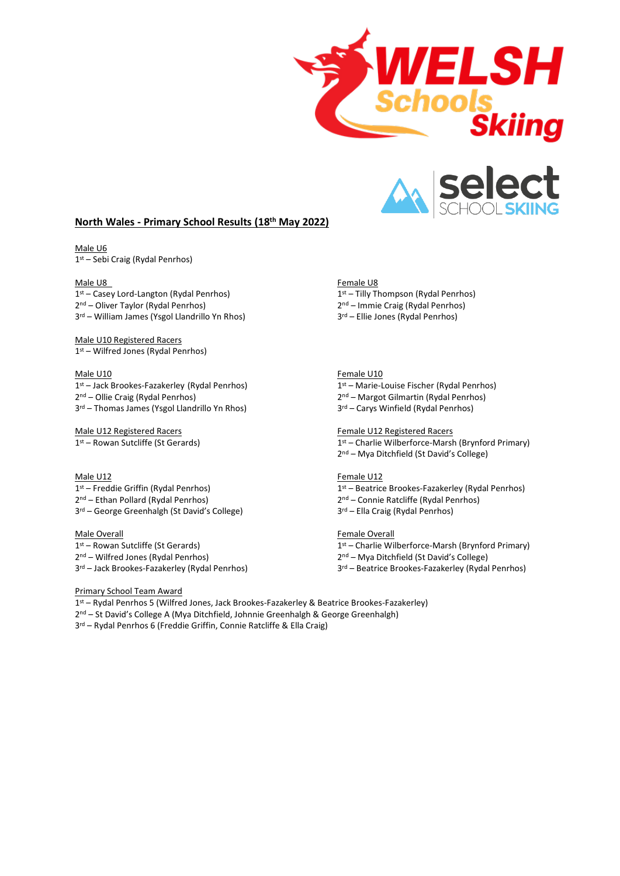



# **North Wales - Primary School Results (18th May 2022)**

Male U6 1 st – Sebi Craig (Rydal Penrhos)

1 st – Casey Lord-Langton (Rydal Penrhos) 1 2 nd – Oliver Taylor (Rydal Penrhos) 2 3 rd – William James (Ysgol Llandrillo Yn Rhos) 3

Male U10 Registered Racers 1 st – Wilfred Jones (Rydal Penrhos)

1 st – Jack Brookes-Fazakerley (Rydal Penrhos) 1 2 nd – Ollie Craig (Rydal Penrhos) 2 3 rd – Thomas James (Ysgol Llandrillo Yn Rhos) 3

1<sup>st</sup> – Rowan Sutcliffe (St Gerards) 1

1 st – Freddie Griffin (Rydal Penrhos) 1 2 nd – Ethan Pollard (Rydal Penrhos) 2 3 rd – George Greenhalgh (St David's College) 3

1 st – Rowan Sutcliffe (St Gerards) 1 2 nd – Wilfred Jones (Rydal Penrhos) 2

3 rd – Jack Brookes-Fazakerley (Rydal Penrhos) 3

Male U8 Female U8

 $1<sup>st</sup>$  – Tilly Thompson (Rydal Penrhos) 2<sup>nd</sup> – Immie Craig (Rydal Penrhos)

3<sup>rd</sup> – Ellie Jones (Rydal Penrhos)

### Male U10 Female U10

1<sup>st</sup> – Marie-Louise Fischer (Rydal Penrhos) 2<sup>nd</sup> – Margot Gilmartin (Rydal Penrhos)

3<sup>rd</sup> – Carys Winfield (Rydal Penrhos)

### Male U12 Registered Racers Female U12 Registered Racers

1st – Charlie Wilberforce-Marsh (Brynford Primary) 2 nd – Mya Ditchfield (St David's College)

# Male U12 Female U12

 $1<sup>st</sup>$  – Beatrice Brookes-Fazakerley (Rydal Penrhos) 2<sup>nd</sup> – Connie Ratcliffe (Rydal Penrhos)

3<sup>rd</sup> – Ella Craig (Rydal Penrhos)

### Male Overall **Male Overall Female Overall**

1<sup>st</sup> – Charlie Wilberforce-Marsh (Brynford Primary)

2<sup>nd</sup> – Mya Ditchfield (St David's College)

3<sup>rd</sup> – Beatrice Brookes-Fazakerley (Rydal Penrhos)

Primary School Team Award

1 st – Rydal Penrhos 5 (Wilfred Jones, Jack Brookes-Fazakerley & Beatrice Brookes-Fazakerley)

2 nd – St David's College A (Mya Ditchfield, Johnnie Greenhalgh & George Greenhalgh)

3 rd – Rydal Penrhos 6 (Freddie Griffin, Connie Ratcliffe & Ella Craig)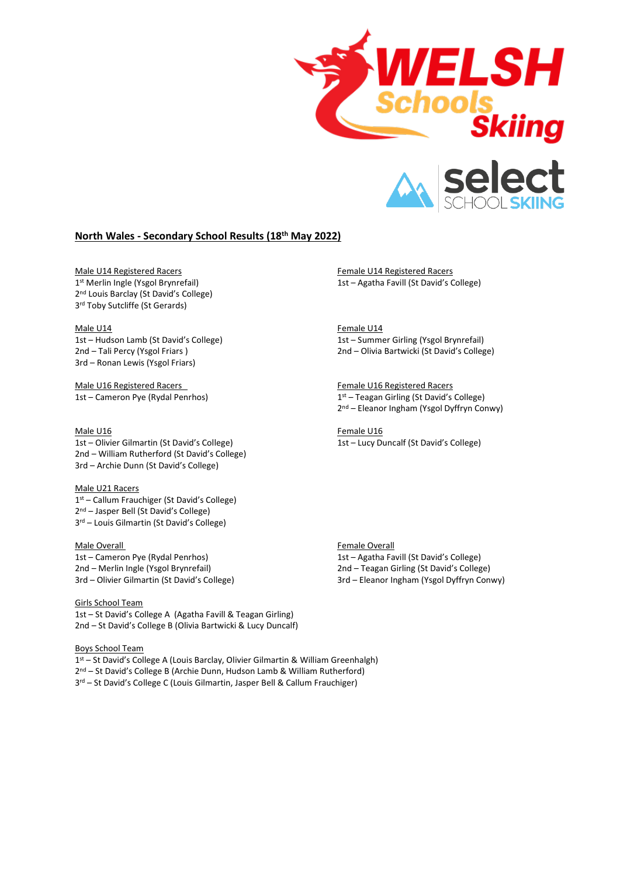

# **North Wales - Secondary School Results (18th May 2022)**

Male U14 Registered Racers Female U14 Registered Racers Female U14 Registered Racers 1st Merlin Ingle (Ysgol Brynrefail) 2<sup>nd</sup> Louis Barclay (St David's College) 3 rd Toby Sutcliffe (St Gerards)

1st – Hudson Lamb (St David's College) 1st – Summer Girling (Ysgol Brynrefail) 3rd – Ronan Lewis (Ysgol Friars)

Male U16 Registered Racers Female U16 Registered Racers 1st – Cameron Pye (Rydal Penrhos) 1

1st – Olivier Gilmartin (St David's College) 1st – Lucy Duncalf (St David's College) 2nd – William Rutherford (St David's College) 3rd – Archie Dunn (St David's College)

Male U21 Racers st – Callum Frauchiger (St David's College) nd – Jasper Bell (St David's College) rd – Louis Gilmartin (St David's College)

# Male Overall **Male Overall**

2nd – Merlin Ingle (Ysgol Brynrefail) 2nd – Teagan Girling (St David's College)

Girls School Team 1st – St David's College A (Agatha Favill & Teagan Girling) 2nd – St David's College B (Olivia Bartwicki & Lucy Duncalf)

Boys School Team 1 st – St David's College A (Louis Barclay, Olivier Gilmartin & William Greenhalgh)

2 nd – St David's College B (Archie Dunn, Hudson Lamb & William Rutherford)

3 rd – St David's College C (Louis Gilmartin, Jasper Bell & Callum Frauchiger)

1st – Agatha Favill (St David's College)

Male U14 Female U14 2nd – Tali Percy (Ysgol Friars ) 2nd – Olivia Bartwicki (St David's College)

> $1<sup>st</sup>$  – Teagan Girling (St David's College) 2 nd – Eleanor Ingham (Ysgol Dyffryn Conwy)

Male U16 Female U16

1st – Cameron Pye (Rydal Penrhos) 1st – Agatha Favill (St David's College) 3rd – Olivier Gilmartin (St David's College) 3rd – Eleanor Ingham (Ysgol Dyffryn Conwy)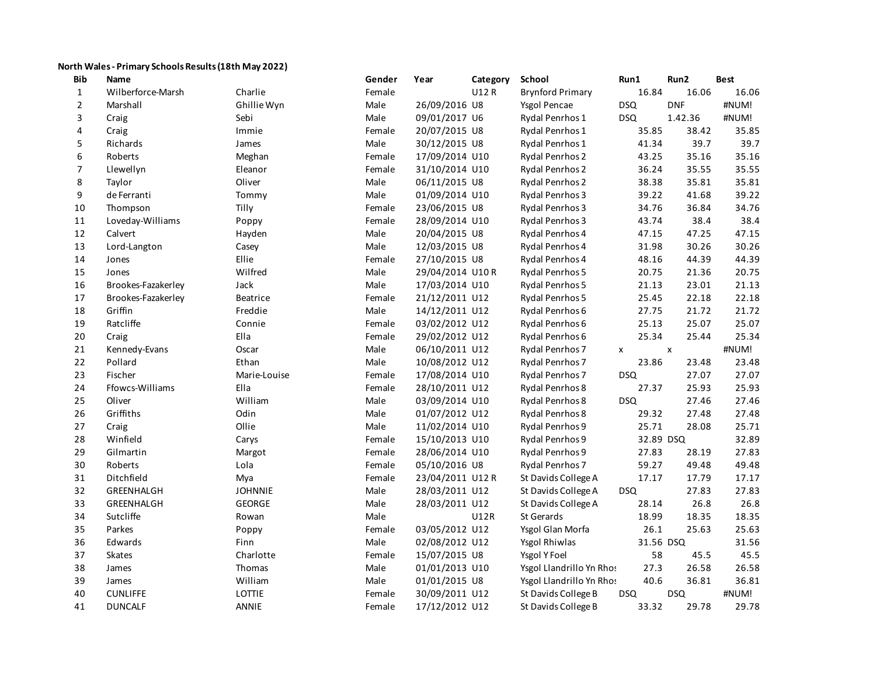# **North Wales - Primary Schools Results (18th May 2022)**

| Bib            | Name               |                 | Gender | Year             | Category    | School                   | Run1       | Run2       | <b>Best</b> |
|----------------|--------------------|-----------------|--------|------------------|-------------|--------------------------|------------|------------|-------------|
| $\mathbf{1}$   | Wilberforce-Marsh  | Charlie         | Female |                  | U12R        | <b>Brynford Primary</b>  | 16.84      | 16.06      | 16.06       |
| $\overline{2}$ | Marshall           | Ghillie Wyn     | Male   | 26/09/2016 U8    |             | <b>Ysgol Pencae</b>      | <b>DSQ</b> | <b>DNF</b> | #NUM!       |
| 3              | Craig              | Sebi            | Male   | 09/01/2017 U6    |             | Rydal Penrhos 1          | <b>DSQ</b> | 1.42.36    | #NUM!       |
| 4              | Craig              | Immie           | Female | 20/07/2015 U8    |             | Rydal Penrhos 1          | 35.85      | 38.42      | 35.85       |
| 5              | Richards           | James           | Male   | 30/12/2015 U8    |             | Rydal Penrhos 1          | 41.34      | 39.7       | 39.7        |
| 6              | Roberts            | Meghan          | Female | 17/09/2014 U10   |             | Rydal Penrhos 2          | 43.25      | 35.16      | 35.16       |
| $\overline{7}$ | Llewellyn          | Eleanor         | Female | 31/10/2014 U10   |             | Rydal Penrhos 2          | 36.24      | 35.55      | 35.55       |
| 8              | Taylor             | Oliver          | Male   | 06/11/2015 U8    |             | Rydal Penrhos 2          | 38.38      | 35.81      | 35.81       |
| 9              | de Ferranti        | Tommy           | Male   | 01/09/2014 U10   |             | Rydal Penrhos 3          | 39.22      | 41.68      | 39.22       |
| 10             | Thompson           | Tilly           | Female | 23/06/2015 U8    |             | Rydal Penrhos 3          | 34.76      | 36.84      | 34.76       |
| 11             | Loveday-Williams   | Poppy           | Female | 28/09/2014 U10   |             | <b>Rydal Penrhos 3</b>   | 43.74      | 38.4       | 38.4        |
| 12             | Calvert            | Hayden          | Male   | 20/04/2015 U8    |             | Rydal Penrhos 4          | 47.15      | 47.25      | 47.15       |
| 13             | Lord-Langton       | Casey           | Male   | 12/03/2015 U8    |             | Rydal Penrhos 4          | 31.98      | 30.26      | 30.26       |
| 14             | Jones              | Ellie           | Female | 27/10/2015 U8    |             | Rydal Penrhos 4          | 48.16      | 44.39      | 44.39       |
| 15             | Jones              | Wilfred         | Male   | 29/04/2014 U10R  |             | Rydal Penrhos 5          | 20.75      | 21.36      | 20.75       |
| 16             | Brookes-Fazakerley | Jack            | Male   | 17/03/2014 U10   |             | Rydal Penrhos 5          | 21.13      | 23.01      | 21.13       |
| 17             | Brookes-Fazakerley | <b>Beatrice</b> | Female | 21/12/2011 U12   |             | Rydal Penrhos 5          | 25.45      | 22.18      | 22.18       |
| 18             | Griffin            | Freddie         | Male   | 14/12/2011 U12   |             | Rydal Penrhos 6          | 27.75      | 21.72      | 21.72       |
| 19             | Ratcliffe          | Connie          | Female | 03/02/2012 U12   |             | Rydal Penrhos 6          | 25.13      | 25.07      | 25.07       |
| 20             | Craig              | Ella            | Female | 29/02/2012 U12   |             | Rydal Penrhos 6          | 25.34      | 25.44      | 25.34       |
| 21             | Kennedy-Evans      | Oscar           | Male   | 06/10/2011 U12   |             | Rydal Penrhos 7          | X          | X          | #NUM!       |
| 22             | Pollard            | Ethan           | Male   | 10/08/2012 U12   |             | Rydal Penrhos 7          | 23.86      | 23.48      | 23.48       |
| 23             | Fischer            | Marie-Louise    | Female | 17/08/2014 U10   |             | Rydal Penrhos 7          | <b>DSQ</b> | 27.07      | 27.07       |
| 24             | Ffowcs-Williams    | Ella            | Female | 28/10/2011 U12   |             | Rydal Penrhos 8          | 27.37      | 25.93      | 25.93       |
| 25             | Oliver             | William         | Male   | 03/09/2014 U10   |             | Rydal Penrhos 8          | <b>DSQ</b> | 27.46      | 27.46       |
| 26             | Griffiths          | Odin            | Male   | 01/07/2012 U12   |             | Rydal Penrhos 8          | 29.32      | 27.48      | 27.48       |
| 27             | Craig              | Ollie           | Male   | 11/02/2014 U10   |             | Rydal Penrhos 9          | 25.71      | 28.08      | 25.71       |
| 28             | Winfield           | Carys           | Female | 15/10/2013 U10   |             | Rydal Penrhos 9          | 32.89 DSQ  |            | 32.89       |
| 29             | Gilmartin          | Margot          | Female | 28/06/2014 U10   |             | Rydal Penrhos 9          | 27.83      | 28.19      | 27.83       |
| 30             | Roberts            | Lola            | Female | 05/10/2016 U8    |             | Rydal Penrhos 7          | 59.27      | 49.48      | 49.48       |
| 31             | Ditchfield         | Mya             | Female | 23/04/2011 U12 R |             | St Davids College A      | 17.17      | 17.79      | 17.17       |
| 32             | GREENHALGH         | <b>JOHNNIE</b>  | Male   | 28/03/2011 U12   |             | St Davids College A      | <b>DSQ</b> | 27.83      | 27.83       |
| 33             | GREENHALGH         | <b>GEORGE</b>   | Male   | 28/03/2011 U12   |             | St Davids College A      | 28.14      | 26.8       | 26.8        |
| 34             | Sutcliffe          | Rowan           | Male   |                  | <b>U12R</b> | <b>St Gerards</b>        | 18.99      | 18.35      | 18.35       |
| 35             | Parkes             | Poppy           | Female | 03/05/2012 U12   |             | Ysgol Glan Morfa         | 26.1       | 25.63      | 25.63       |
| 36             | Edwards            | Finn            | Male   | 02/08/2012 U12   |             | Ysgol Rhiwlas            | 31.56 DSQ  |            | 31.56       |
| 37             | <b>Skates</b>      | Charlotte       | Female | 15/07/2015 U8    |             | Ysgol Y Foel             | 58         | 45.5       | 45.5        |
| 38             | James              | Thomas          | Male   | 01/01/2013 U10   |             | Ysgol Llandrillo Yn Rhos | 27.3       | 26.58      | 26.58       |
| 39             | James              | William         | Male   | 01/01/2015 U8    |             | Ysgol Llandrillo Yn Rhos | 40.6       | 36.81      | 36.81       |
| 40             | <b>CUNLIFFE</b>    | LOTTIE          | Female | 30/09/2011 U12   |             | St Davids College B      | <b>DSQ</b> | <b>DSQ</b> | #NUM!       |
| 41             | <b>DUNCALF</b>     | ANNIE           | Female | 17/12/2012 U12   |             | St Davids College B      | 33.32      | 29.78      | 29.78       |